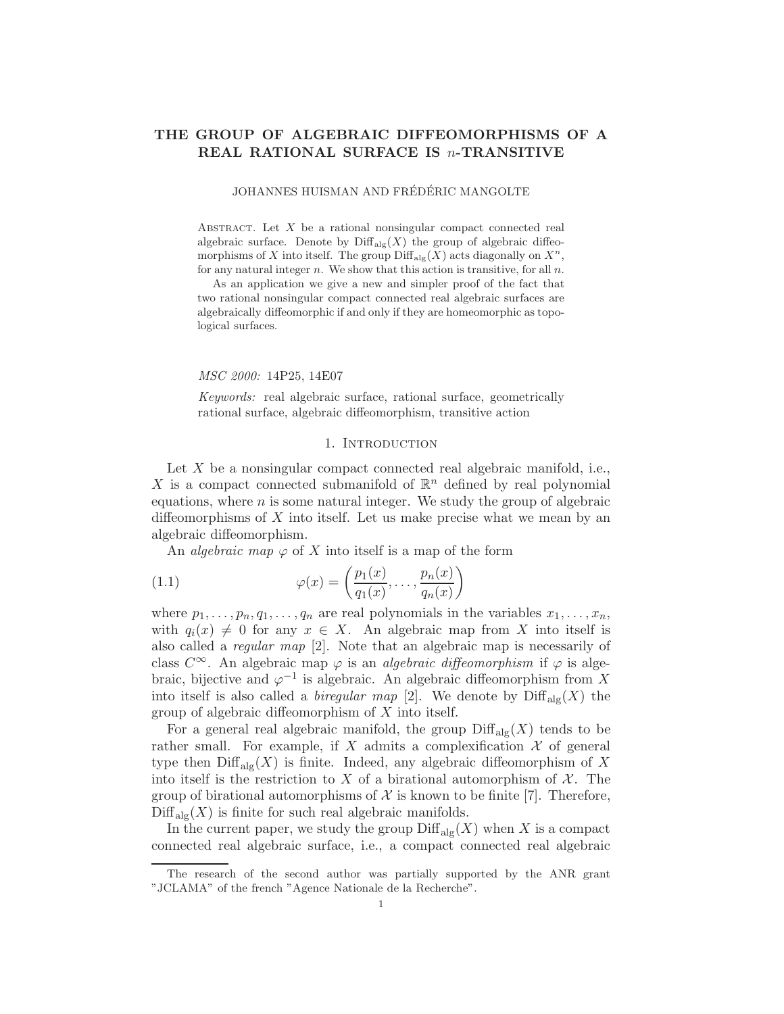# THE GROUP OF ALGEBRAIC DIFFEOMORPHISMS OF A REAL RATIONAL SURFACE IS n-TRANSITIVE

JOHANNES HUISMAN AND FRÉDÉRIC MANGOLTE

ABSTRACT. Let  $X$  be a rational nonsingular compact connected real algebraic surface. Denote by  $\text{Diff}_{\text{alg}}(X)$  the group of algebraic diffeomorphisms of X into itself. The group  $\text{Diff}_{\text{alg}}(X)$  acts diagonally on  $X^n$ , for any natural integer  $n$ . We show that this action is transitive, for all  $n$ .

As an application we give a new and simpler proof of the fact that two rational nonsingular compact connected real algebraic surfaces are algebraically diffeomorphic if and only if they are homeomorphic as topological surfaces.

MSC 2000: 14P25, 14E07

Keywords: real algebraic surface, rational surface, geometrically rational surface, algebraic diffeomorphism, transitive action

## 1. INTRODUCTION

Let  $X$  be a nonsingular compact connected real algebraic manifold, i.e., X is a compact connected submanifold of  $\mathbb{R}^n$  defined by real polynomial equations, where  $n$  is some natural integer. We study the group of algebraic diffeomorphisms of  $X$  into itself. Let us make precise what we mean by an algebraic diffeomorphism.

An *algebraic* map  $\varphi$  of X into itself is a map of the form

(1.1) 
$$
\varphi(x) = \left(\frac{p_1(x)}{q_1(x)}, \dots, \frac{p_n(x)}{q_n(x)}\right)
$$

where  $p_1, \ldots, p_n, q_1, \ldots, q_n$  are real polynomials in the variables  $x_1, \ldots, x_n$ , with  $q_i(x) \neq 0$  for any  $x \in X$ . An algebraic map from X into itself is also called a regular map [2]. Note that an algebraic map is necessarily of class  $C^{\infty}$ . An algebraic map  $\varphi$  is an *algebraic diffeomorphism* if  $\varphi$  is algebraic, bijective and  $\varphi^{-1}$  is algebraic. An algebraic diffeomorphism from X into itself is also called a *biregular map* [2]. We denote by  $\text{Diff}_{\text{alg}}(X)$  the group of algebraic diffeomorphism of X into itself.

For a general real algebraic manifold, the group  $\text{Diff}_{\text{alg}}(X)$  tends to be rather small. For example, if X admits a complexification  $\mathcal X$  of general type then  $\text{Diff}_{\text{alg}}(X)$  is finite. Indeed, any algebraic diffeomorphism of X into itself is the restriction to X of a birational automorphism of  $\mathcal{X}$ . The group of birational automorphisms of  $\mathcal X$  is known to be finite [7]. Therefore,  $\text{Diff}_{\text{alg}}(X)$  is finite for such real algebraic manifolds.

In the current paper, we study the group  $\text{Diff}_{\text{alg}}(X)$  when X is a compact connected real algebraic surface, i.e., a compact connected real algebraic

The research of the second author was partially supported by the ANR grant "JCLAMA" of the french "Agence Nationale de la Recherche".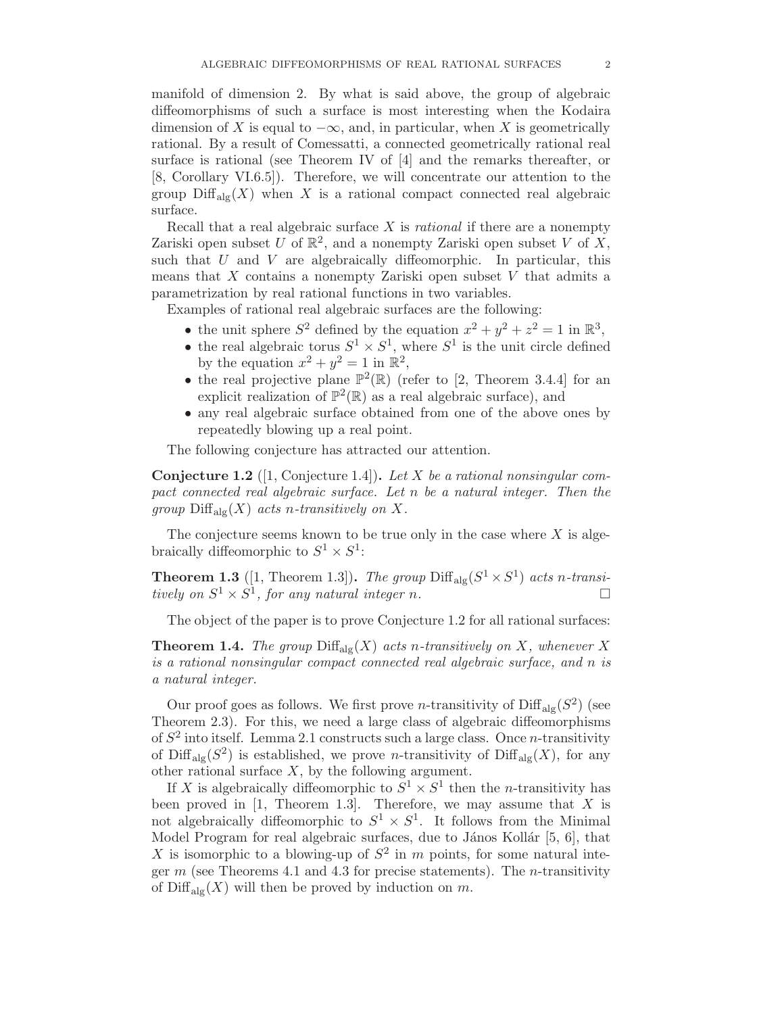manifold of dimension 2. By what is said above, the group of algebraic diffeomorphisms of such a surface is most interesting when the Kodaira dimension of X is equal to  $-\infty$ , and, in particular, when X is geometrically rational. By a result of Comessatti, a connected geometrically rational real surface is rational (see Theorem IV of [4] and the remarks thereafter, or [8, Corollary VI.6.5]). Therefore, we will concentrate our attention to the group  $\text{Diff}_{\text{alg}}(X)$  when X is a rational compact connected real algebraic surface.

Recall that a real algebraic surface  $X$  is *rational* if there are a nonempty Zariski open subset U of  $\mathbb{R}^2$ , and a nonempty Zariski open subset V of X, such that  $U$  and  $V$  are algebraically diffeomorphic. In particular, this means that  $X$  contains a nonempty Zariski open subset  $V$  that admits a parametrization by real rational functions in two variables.

Examples of rational real algebraic surfaces are the following:

- the unit sphere  $S^2$  defined by the equation  $x^2 + y^2 + z^2 = 1$  in  $\mathbb{R}^3$ ,
- the real algebraic torus  $S^1 \times S^1$ , where  $S^1$  is the unit circle defined by the equation  $x^2 + y^2 = 1$  in  $\mathbb{R}^2$ ,
- the real projective plane  $\mathbb{P}^2(\mathbb{R})$  (refer to [2, Theorem 3.4.4] for an explicit realization of  $\mathbb{P}^2(\mathbb{R})$  as a real algebraic surface), and
- any real algebraic surface obtained from one of the above ones by repeatedly blowing up a real point.

The following conjecture has attracted our attention.

**Conjecture 1.2** (1, Conjecture 1.4). Let X be a rational nonsingular compact connected real algebraic surface. Let n be a natural integer. Then the group  $\text{Diff}_{\text{alg}}(X)$  acts n-transitively on X.

The conjecture seems known to be true only in the case where  $X$  is algebraically diffeomorphic to  $S^1 \times S^1$ :

**Theorem 1.3** ([1, Theorem 1.3]). The group  $\text{Diff}_{\text{alg}}(S^1 \times S^1)$  acts n-transitively on  $S^1 \times S^1$ , for any natural integer n.

The object of the paper is to prove Conjecture 1.2 for all rational surfaces:

**Theorem 1.4.** The group  $\text{Diff}_{\text{alg}}(X)$  acts n-transitively on X, whenever X is a rational nonsingular compact connected real algebraic surface, and n is a natural integer.

Our proof goes as follows. We first prove *n*-transitivity of  $\text{Diff}_{\text{alg}}(S^2)$  (see Theorem 2.3). For this, we need a large class of algebraic diffeomorphisms of  $S^2$  into itself. Lemma 2.1 constructs such a large class. Once *n*-transitivity of Diff<sub>alg</sub> $(S^2)$  is established, we prove *n*-transitivity of Diff<sub>alg</sub> $(X)$ , for any other rational surface  $X$ , by the following argument.

If X is algebraically diffeomorphic to  $S^1 \times S^1$  then the *n*-transitivity has been proved in  $[1,$  Theorem 1.3. Therefore, we may assume that X is not algebraically diffeomorphic to  $S^1 \times S^1$ . It follows from the Minimal Model Program for real algebraic surfaces, due to János Kollár  $[5, 6]$ , that X is isomorphic to a blowing-up of  $S^2$  in m points, for some natural integer m (see Theorems 4.1 and 4.3 for precise statements). The *n*-transitivity of  $\text{Diff}_{\text{alg}}(X)$  will then be proved by induction on m.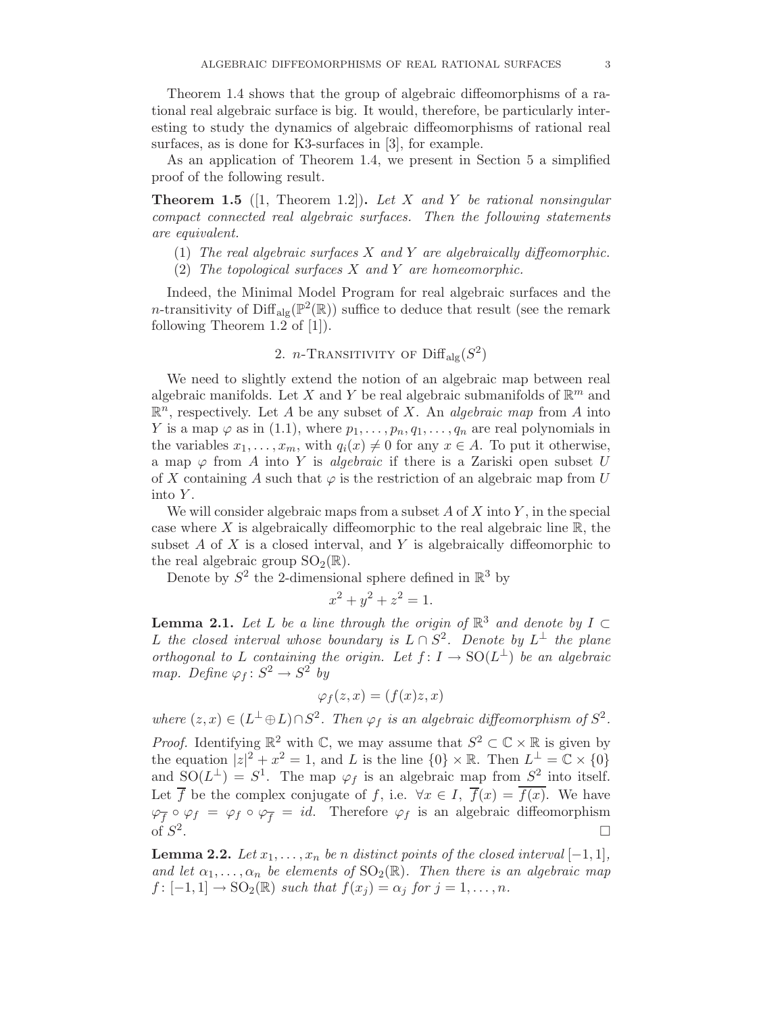Theorem 1.4 shows that the group of algebraic diffeomorphisms of a rational real algebraic surface is big. It would, therefore, be particularly interesting to study the dynamics of algebraic diffeomorphisms of rational real surfaces, as is done for K3-surfaces in [3], for example.

As an application of Theorem 1.4, we present in Section 5 a simplified proof of the following result.

**Theorem 1.5** ([1, Theorem 1.2]). Let X and Y be rational nonsingular compact connected real algebraic surfaces. Then the following statements are equivalent.

- (1) The real algebraic surfaces  $X$  and  $Y$  are algebraically diffeomorphic.
- (2) The topological surfaces  $X$  and  $Y$  are homeomorphic.

Indeed, the Minimal Model Program for real algebraic surfaces and the *n*-transitivity of  $\text{Diff}_{\text{alg}}(\mathbb{P}^2(\mathbb{R}))$  suffice to deduce that result (see the remark following Theorem  $1.2$  of [1]).

2. *n*-Transitivity of 
$$
\text{Diff}_{\text{alg}}(S^2)
$$

We need to slightly extend the notion of an algebraic map between real algebraic manifolds. Let X and Y be real algebraic submanifolds of  $\mathbb{R}^m$  and  $\mathbb{R}^n$ , respectively. Let A be any subset of X. An *algebraic map* from A into Y is a map  $\varphi$  as in (1.1), where  $p_1, \ldots, p_n, q_1, \ldots, q_n$  are real polynomials in the variables  $x_1, \ldots, x_m$ , with  $q_i(x) \neq 0$  for any  $x \in A$ . To put it otherwise, a map  $\varphi$  from A into Y is *algebraic* if there is a Zariski open subset U of X containing A such that  $\varphi$  is the restriction of an algebraic map from U into Y.

We will consider algebraic maps from a subset  $A$  of  $X$  into  $Y$ , in the special case where  $X$  is algebraically diffeomorphic to the real algebraic line  $\mathbb{R}$ , the subset A of X is a closed interval, and Y is algebraically diffeomorphic to the real algebraic group  $SO_2(\mathbb{R})$ .

Denote by  $S^2$  the 2-dimensional sphere defined in  $\mathbb{R}^3$  by

$$
x^2 + y^2 + z^2 = 1.
$$

**Lemma 2.1.** Let L be a line through the origin of  $\mathbb{R}^3$  and denote by  $I \subset$ L the closed interval whose boundary is  $L \cap S^2$ . Denote by  $L^{\perp}$  the plane orthogonal to L containing the origin. Let  $f: I \to SO(L^{\perp})$  be an algebraic map. Define  $\varphi_f : S^2 \to S^2$  by

$$
\varphi_f(z,x) = (f(x)z, x)
$$

where  $(z, x) \in (L^{\perp} \oplus L) \cap S^2$ . Then  $\varphi_f$  is an algebraic diffeomorphism of  $S^2$ .

*Proof.* Identifying  $\mathbb{R}^2$  with  $\mathbb{C}$ , we may assume that  $S^2 \subset \mathbb{C} \times \mathbb{R}$  is given by the equation  $|z|^2 + x^2 = 1$ , and L is the line  $\{0\} \times \mathbb{R}$ . Then  $L^{\perp} = \mathbb{C} \times \{0\}$ and  $SO(L^{\perp}) = S^1$ . The map  $\varphi_f$  is an algebraic map from  $S^2$  into itself. Let  $\overline{f}$  be the complex conjugate of f, i.e.  $\forall x \in I$ ,  $\overline{f}(x) = \overline{f(x)}$ . We have  $\varphi_{\overline{f}} \circ \varphi_f = \varphi_f \circ \varphi_{\overline{f}} = id.$  Therefore  $\varphi_f$  is an algebraic diffeomorphism of  $S^2$ .

**Lemma 2.2.** Let  $x_1, \ldots, x_n$  be n distinct points of the closed interval  $[-1, 1]$ , and let  $\alpha_1, \ldots, \alpha_n$  be elements of  $SO_2(\mathbb{R})$ . Then there is an algebraic map  $f: [-1,1] \to SO_2(\mathbb{R})$  such that  $f(x_i) = \alpha_i$  for  $j = 1,\ldots,n$ .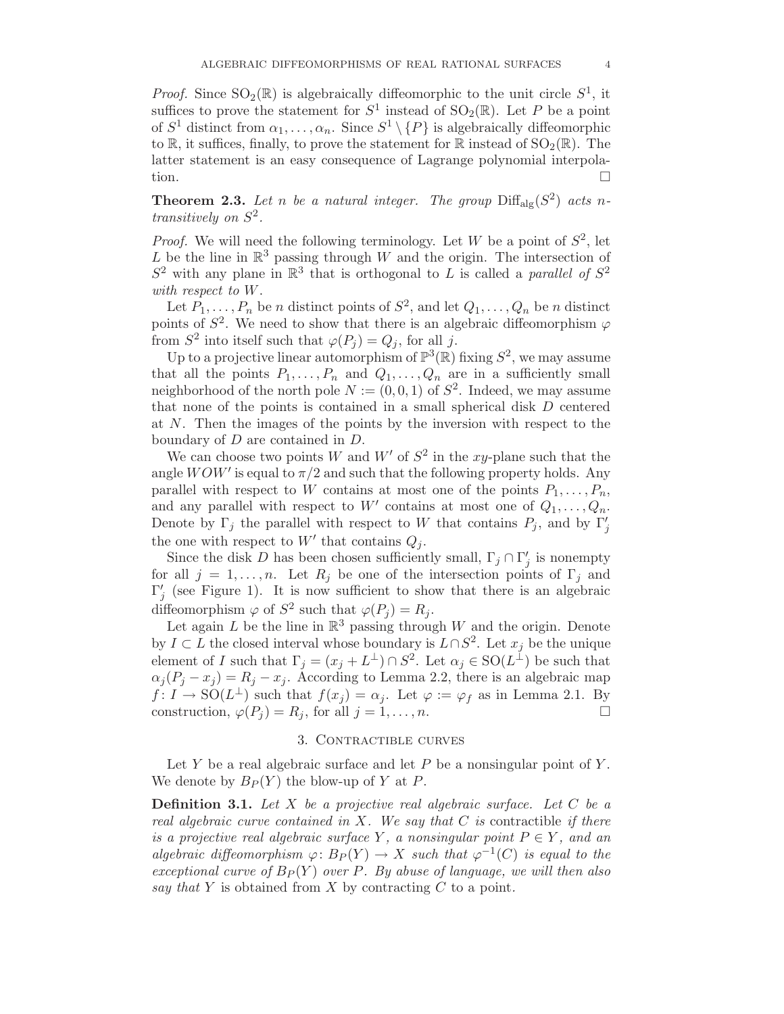*Proof.* Since  $SO_2(\mathbb{R})$  is algebraically diffeomorphic to the unit circle  $S^1$ , it suffices to prove the statement for  $S^1$  instead of  $SO_2(\mathbb{R})$ . Let P be a point of  $S^1$  distinct from  $\alpha_1, \ldots, \alpha_n$ . Since  $S^1 \setminus \{P\}$  is algebraically diffeomorphic to  $\mathbb R$ , it suffices, finally, to prove the statement for  $\mathbb R$  instead of  $\text{SO}_2(\mathbb R)$ . The latter statement is an easy consequence of Lagrange polynomial interpolation.

**Theorem 2.3.** Let n be a natural integer. The group  $\text{Diff}_{\text{alg}}(S^2)$  acts ntransitively on  $S^2$ .

*Proof.* We will need the following terminology. Let W be a point of  $S^2$ , let L be the line in  $\mathbb{R}^3$  passing through W and the origin. The intersection of  $S^2$  with any plane in  $\mathbb{R}^3$  that is orthogonal to L is called a parallel of  $S^2$ with respect to W.

Let  $P_1, \ldots, P_n$  be n distinct points of  $S^2$ , and let  $Q_1, \ldots, Q_n$  be n distinct points of  $S^2$ . We need to show that there is an algebraic diffeomorphism  $\varphi$ from  $S^2$  into itself such that  $\varphi(P_j) = Q_j$ , for all j.

Up to a projective linear automorphism of  $\mathbb{P}^3(\mathbb{R})$  fixing  $S^2$ , we may assume that all the points  $P_1, \ldots, P_n$  and  $Q_1, \ldots, Q_n$  are in a sufficiently small neighborhood of the north pole  $N := (0, 0, 1)$  of  $S^2$ . Indeed, we may assume that none of the points is contained in a small spherical disk D centered at N. Then the images of the points by the inversion with respect to the boundary of D are contained in D.

We can choose two points W and W' of  $S^2$  in the xy-plane such that the angle  $WOW'$  is equal to  $\pi/2$  and such that the following property holds. Any parallel with respect to W contains at most one of the points  $P_1, \ldots, P_n$ , and any parallel with respect to W' contains at most one of  $Q_1, \ldots, Q_n$ . Denote by  $\Gamma_j$  the parallel with respect to W that contains  $P_j$ , and by  $\Gamma'_j$ the one with respect to  $W'$  that contains  $Q_j$ .

Since the disk D has been chosen sufficiently small,  $\Gamma_j \cap \Gamma'_j$  $'_{j}$  is nonempty for all  $j = 1, \ldots, n$ . Let  $R_j$  be one of the intersection points of  $\Gamma_j$  and Γ ′  $'_{j}$  (see Figure 1). It is now sufficient to show that there is an algebraic diffeomorphism  $\varphi$  of  $S^2$  such that  $\varphi(P_j) = R_j$ .

Let again L be the line in  $\mathbb{R}^3$  passing through W and the origin. Denote by  $I \subset L$  the closed interval whose boundary is  $L \cap S^2$ . Let  $x_j$  be the unique element of I such that  $\Gamma_j = (x_j + L^{\perp}) \cap S^2$ . Let  $\alpha_j \in SO(L^{\perp})$  be such that  $\alpha_j (P_j - x_j) = R_j - x_j$ . According to Lemma 2.2, there is an algebraic map  $f: I \to SO(L^{\perp})$  such that  $f(x_j) = \alpha_j$ . Let  $\varphi := \varphi_f$  as in Lemma 2.1. By construction,  $\varphi(P_j) = R_j$ , for all  $j = 1, ..., n$ .

## 3. CONTRACTIBLE CURVES

Let Y be a real algebraic surface and let  $P$  be a nonsingular point of  $Y$ . We denote by  $B_P(Y)$  the blow-up of Y at P.

**Definition 3.1.** Let  $X$  be a projective real algebraic surface. Let  $C$  be a real algebraic curve contained in X. We say that  $C$  is contractible if there is a projective real algebraic surface Y, a nonsingular point  $P \in Y$ , and an algebraic diffeomorphism  $\varphi: B_P(Y) \to X$  such that  $\varphi^{-1}(C)$  is equal to the exceptional curve of  $B_P(Y)$  over P. By abuse of language, we will then also say that Y is obtained from X by contracting  $C$  to a point.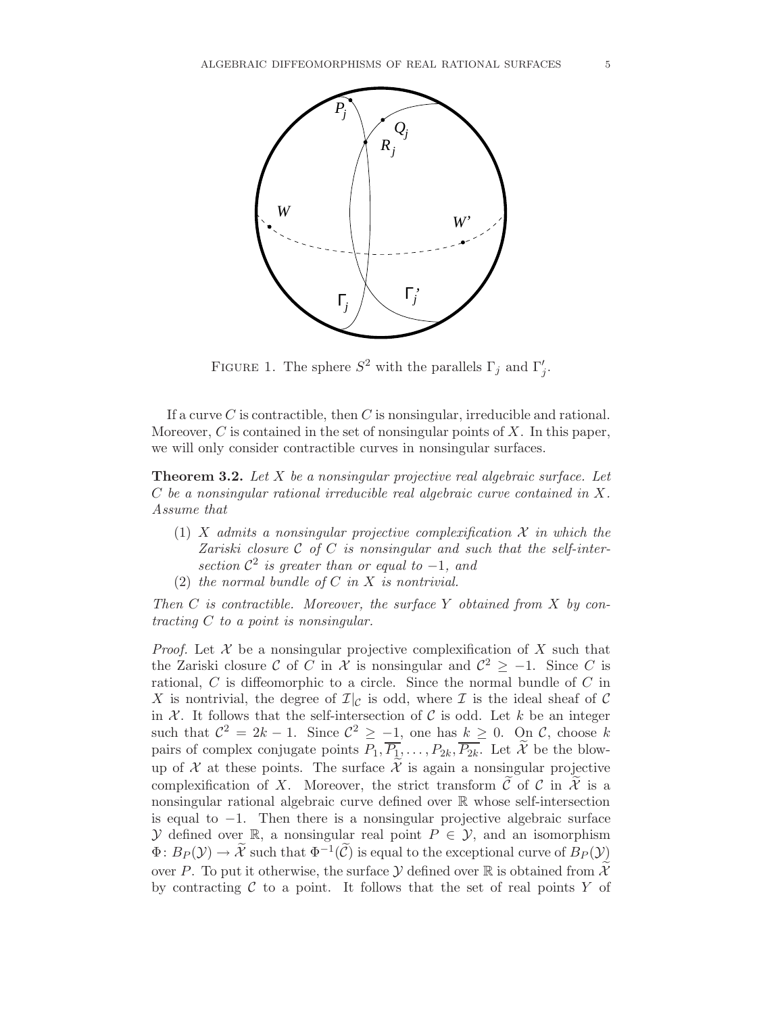

FIGURE 1. The sphere  $S^2$  with the parallels  $\Gamma_j$  and  $\Gamma'_j$ .

If a curve  $C$  is contractible, then  $C$  is nonsingular, irreducible and rational. Moreover,  $C$  is contained in the set of nonsingular points of  $X$ . In this paper, we will only consider contractible curves in nonsingular surfaces.

**Theorem 3.2.** Let X be a nonsingular projective real algebraic surface. Let C be a nonsingular rational irreducible real algebraic curve contained in X. Assume that

- (1) X admits a nonsingular projective complexification  $\mathcal X$  in which the Zariski closure  $C$  of  $C$  is nonsingular and such that the self-intersection  $\mathcal{C}^2$  is greater than or equal to -1, and
- (2) the normal bundle of  $C$  in  $X$  is nontrivial.

Then  $C$  is contractible. Moreover, the surface  $Y$  obtained from  $X$  by contracting C to a point is nonsingular.

*Proof.* Let  $X$  be a nonsingular projective complexification of  $X$  such that the Zariski closure C of C in X is nonsingular and  $\mathcal{C}^2 \geq -1$ . Since C is rational,  $C$  is diffeomorphic to a circle. Since the normal bundle of  $C$  in X is nontrivial, the degree of  $\mathcal{I}|_{\mathcal{C}}$  is odd, where  $\mathcal I$  is the ideal sheaf of  $\mathcal C$ in  $X$ . It follows that the self-intersection of C is odd. Let k be an integer such that  $\mathcal{C}^2 = 2k - 1$ . Since  $\mathcal{C}^2 \ge -1$ , one has  $k \ge 0$ . On  $\mathcal{C}$ , choose k pairs of complex conjugate points  $P_1, \overline{P_1}, \ldots, P_{2k}, \overline{P_{2k}}$ . Let  $\widetilde{\mathcal{X}}$  be the blowup of X at these points. The surface  $\tilde{\mathcal{X}}$  is again a nonsingular projective complexification of X. Moreover, the strict transform  $\hat{\mathcal{C}}$  of  $\hat{\mathcal{C}}$  in  $\hat{\mathcal{X}}$  is a nonsingular rational algebraic curve defined over R whose self-intersection is equal to −1. Then there is a nonsingular projective algebraic surface  $\mathcal Y$  defined over  $\mathbb R$ , a nonsingular real point  $P \in \mathcal Y$ , and an isomorphism  $\Phi: B_P(\mathcal{Y}) \to \widetilde{\mathcal{X}}$  such that  $\Phi^{-1}(\widetilde{\mathcal{C}})$  is equal to the exceptional curve of  $\widetilde{B}_P(\mathcal{Y})$ over P. To put it otherwise, the surface  $\mathcal Y$  defined over R is obtained from  $\widetilde{\mathcal X}$ by contracting  $C$  to a point. It follows that the set of real points Y of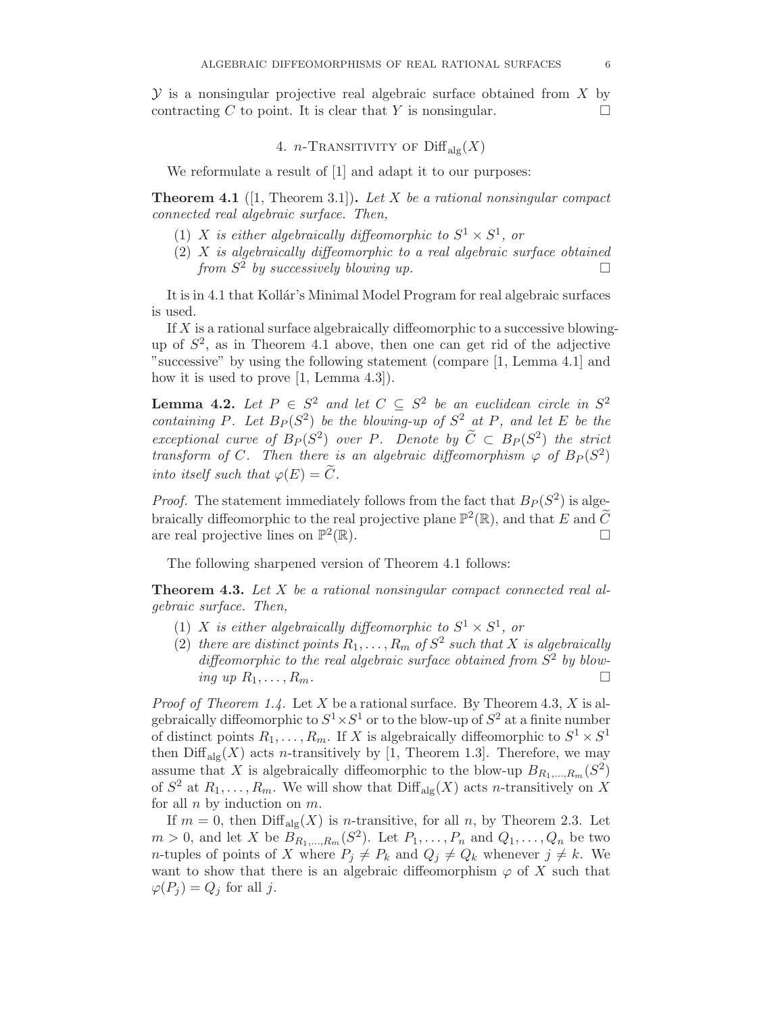$\mathcal Y$  is a nonsingular projective real algebraic surface obtained from X by contracting C to point. It is clear that Y is nonsingular.  $\square$ 

4. *n*-Transitivity of  $\text{Diff}_{\text{alg}}(X)$ 

We reformulate a result of  $[1]$  and adapt it to our purposes:

**Theorem 4.1** (1, Theorem 3.1). Let X be a rational nonsingular compact connected real algebraic surface. Then,

- (1) X is either algebraically diffeomorphic to  $S^1 \times S^1$ , or
- $(2)$  X is algebraically diffeomorphic to a real algebraic surface obtained from  $S^2$  by successively blowing up.

It is in 4.1 that Kollár's Minimal Model Program for real algebraic surfaces is used.

If  $X$  is a rational surface algebraically diffeomorphic to a successive blowingup of  $S<sup>2</sup>$ , as in Theorem 4.1 above, then one can get rid of the adjective "successive" by using the following statement (compare [1, Lemma 4.1] and how it is used to prove [1, Lemma 4.3]).

**Lemma 4.2.** Let  $P \in S^2$  and let  $C \subseteq S^2$  be an euclidean circle in  $S^2$ containing P. Let  $B_P(S^2)$  be the blowing-up of  $S^2$  at P, and let E be the exceptional curve of  $B_P(S^2)$  over P. Denote by  $\widetilde{C} \subset B_P(S^2)$  the strict transform of C. Then there is an algebraic diffeomorphism  $\varphi$  of  $B_P(S^2)$ into itself such that  $\varphi(E) = \tilde{C}$ .

*Proof.* The statement immediately follows from the fact that  $B<sub>P</sub>(S<sup>2</sup>)$  is algebraically diffeomorphic to the real projective plane  $\mathbb{P}^2(\mathbb{R})$ , and that E and  $\widetilde{C}$ are real projective lines on  $\mathbb{P}^2$  $(\mathbb{R})$ .

The following sharpened version of Theorem 4.1 follows:

**Theorem 4.3.** Let  $X$  be a rational nonsingular compact connected real algebraic surface. Then,

- (1) X is either algebraically diffeomorphic to  $S^1 \times S^1$ , or
- (2) there are distinct points  $R_1, \ldots, R_m$  of  $S^2$  such that X is algebraically diffeomorphic to the real algebraic surface obtained from  $S^2$  by blowing up  $R_1,\ldots,R_m$ .

*Proof of Theorem 1.4.* Let X be a rational surface. By Theorem 4.3, X is algebraically diffeomorphic to  $S^1 \times S^1$  or to the blow-up of  $S^2$  at a finite number of distinct points  $R_1, \ldots, R_m$ . If X is algebraically diffeomorphic to  $S^1 \times S^1$ then  $\text{Diff}_{\text{alg}}(X)$  acts *n*-transitively by [1, Theorem 1.3]. Therefore, we may assume that X is algebraically diffeomorphic to the blow-up  $B_{R_1,\dots,R_m}(S^2)$ of  $S^2$  at  $R_1, \ldots, R_m$ . We will show that  $\text{Diff}_{\text{alg}}(X)$  acts *n*-transitively on X for all  $n$  by induction on  $m$ .

If  $m = 0$ , then  $\text{Diff}_{\text{alg}}(X)$  is *n*-transitive, for all *n*, by Theorem 2.3. Let  $m > 0$ , and let X be  $B_{R_1,...,R_m}(S^2)$ . Let  $P_1,...,P_n$  and  $Q_1,...,Q_n$  be two *n*-tuples of points of X where  $P_j \neq P_k$  and  $Q_j \neq Q_k$  whenever  $j \neq k$ . We want to show that there is an algebraic diffeomorphism  $\varphi$  of X such that  $\varphi(P_i) = Q_i$  for all j.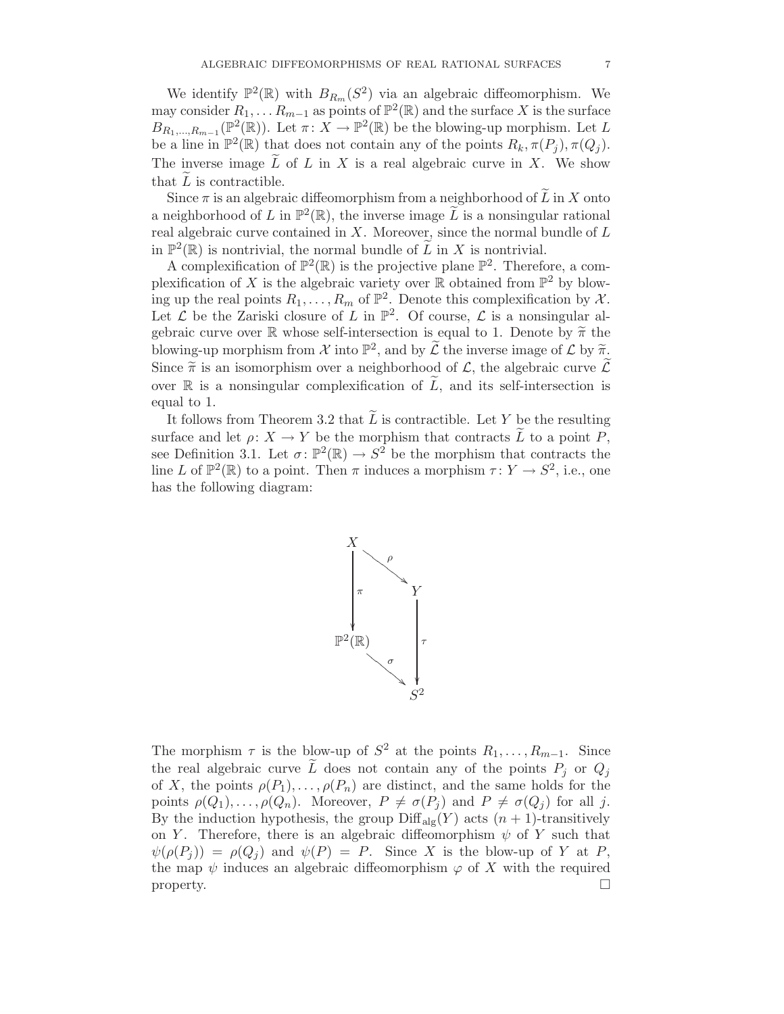We identify  $\mathbb{P}^2(\mathbb{R})$  with  $B_{R_m}(S^2)$  via an algebraic diffeomorphism. We may consider  $R_1, \ldots, R_{m-1}$  as points of  $\mathbb{P}^2(\mathbb{R})$  and the surface X is the surface  $B_{R_1,\ldots,R_{m-1}}(\mathbb{P}^2(\mathbb{R}))$ . Let  $\pi: X \to \mathbb{P}^2(\mathbb{R})$  be the blowing-up morphism. Let L be a line in  $\mathbb{P}^2(\mathbb{R})$  that does not contain any of the points  $R_k, \pi(P_j), \pi(Q_j)$ . The inverse image  $\tilde{L}$  of  $L$  in  $X$  is a real algebraic curve in  $X$ . We show that  $L$  is contractible.

Since  $\pi$  is an algebraic diffeomorphism from a neighborhood of  $\tilde{L}$  in X onto a neighborhood of L in  $\mathbb{P}^2(\mathbb{R})$ , the inverse image  $\widetilde{L}$  is a nonsingular rational real algebraic curve contained in  $X$ . Moreover, since the normal bundle of  $L$ in  $\mathbb{P}^2(\mathbb{R})$  is nontrivial, the normal bundle of  $\widetilde{L}$  in X is nontrivial.

A complexification of  $\mathbb{P}^2(\mathbb{R})$  is the projective plane  $\mathbb{P}^2$ . Therefore, a complexification of X is the algebraic variety over  $\mathbb R$  obtained from  $\mathbb P^2$  by blowing up the real points  $R_1, \ldots, R_m$  of  $\mathbb{P}^2$ . Denote this complexification by X. Let  $\mathcal L$  be the Zariski closure of L in  $\mathbb P^2$ . Of course,  $\mathcal L$  is a nonsingular algebraic curve over R whose self-intersection is equal to 1. Denote by  $\tilde{\pi}$  the blowing-up morphism from  $\mathcal X$  into  $\mathbb P^2$ , and by  $\widetilde{\mathcal L}$  the inverse image of  $\mathcal L$  by  $\widetilde{\pi}$ . Since  $\widetilde{\pi}$  is an isomorphism over a neighborhood of  $\mathcal{L}$ , the algebraic curve  $\widetilde{\mathcal{L}}$ over  $\mathbb R$  is a nonsingular complexification of  $\tilde{L}$ , and its self-intersection is equal to 1.

It follows from Theorem 3.2 that  $\overline{L}$  is contractible. Let Y be the resulting surface and let  $\rho: X \to Y$  be the morphism that contracts  $\widetilde{L}$  to a point P, see Definition 3.1. Let  $\sigma: \mathbb{P}^2(\mathbb{R}) \to S^2$  be the morphism that contracts the line L of  $\mathbb{P}^2(\mathbb{R})$  to a point. Then  $\pi$  induces a morphism  $\tau: Y \to S^2$ , i.e., one has the following diagram:



The morphism  $\tau$  is the blow-up of  $S^2$  at the points  $R_1, \ldots, R_{m-1}$ . Since the real algebraic curve  $\tilde{L}$  does not contain any of the points  $P_j$  or  $Q_j$ of X, the points  $\rho(P_1), \ldots, \rho(P_n)$  are distinct, and the same holds for the points  $\rho(Q_1), \ldots, \rho(Q_n)$ . Moreover,  $P \neq \sigma(P_j)$  and  $P \neq \sigma(Q_j)$  for all j. By the induction hypothesis, the group  $\text{Diff}_{\text{alg}}(Y)$  acts  $(n + 1)$ -transitively on Y. Therefore, there is an algebraic diffeomorphism  $\psi$  of Y such that  $\psi(\rho(P_i)) = \rho(Q_i)$  and  $\psi(P) = P$ . Since X is the blow-up of Y at P, the map  $\psi$  induces an algebraic diffeomorphism  $\varphi$  of X with the required property.  $\Box$